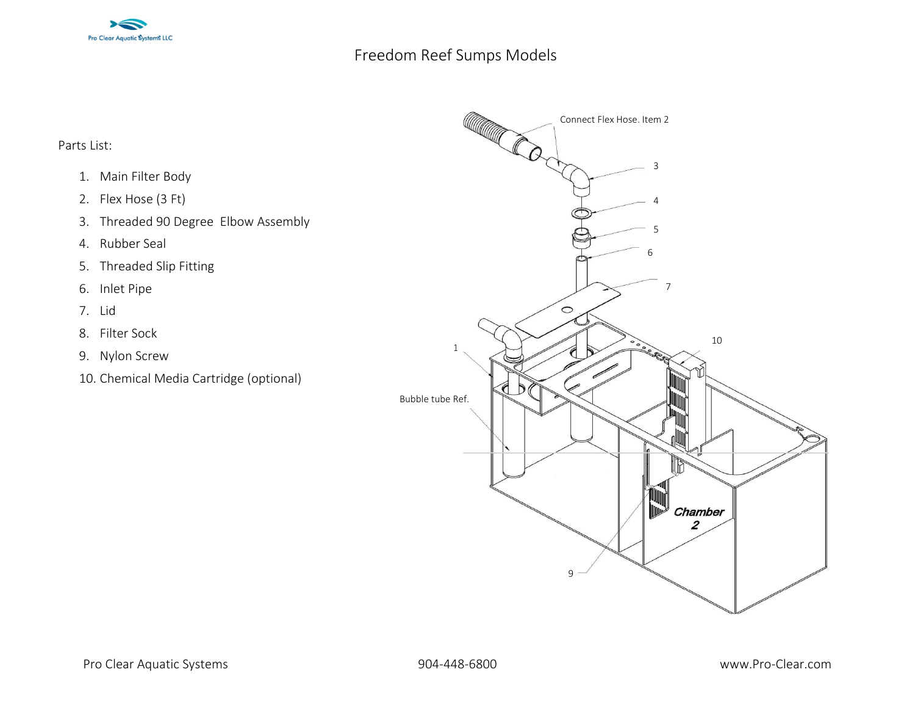

## Freedom Reef Sumps Models

Parts List:

- 1. Main Filter Body
- 2. Flex Hose (3 Ft)
- 3. Threaded 90 Degree Elbow Assembly
- 4. Rubber Seal
- 5. Threaded Slip Fitting
- 6. Inlet Pipe
- 7. Lid
- 8. Filter Sock
- 9. Nylon Screw
- 10. Chemical Media Cartridge (optional)